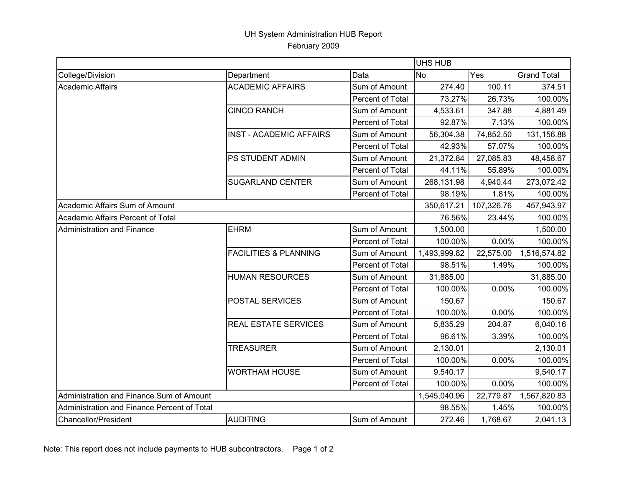## UH System Administration HUB Report February 2009

|                                             |                                  |                         | <b>UHS HUB</b> |            |                    |  |
|---------------------------------------------|----------------------------------|-------------------------|----------------|------------|--------------------|--|
| College/Division                            | Department                       | Data                    | <b>No</b>      | Yes        | <b>Grand Total</b> |  |
| <b>Academic Affairs</b>                     | <b>ACADEMIC AFFAIRS</b>          | Sum of Amount           | 274.40         | 100.11     | 374.51             |  |
|                                             |                                  | Percent of Total        | 73.27%         | 26.73%     | 100.00%            |  |
|                                             | <b>CINCO RANCH</b>               | Sum of Amount           | 4,533.61       | 347.88     | 4,881.49           |  |
|                                             |                                  | Percent of Total        | 92.87%         | 7.13%      | 100.00%            |  |
|                                             | <b>INST - ACADEMIC AFFAIRS</b>   | Sum of Amount           | 56,304.38      | 74,852.50  | 131,156.88         |  |
|                                             |                                  | Percent of Total        | 42.93%         | 57.07%     | 100.00%            |  |
|                                             | PS STUDENT ADMIN                 | Sum of Amount           | 21,372.84      | 27,085.83  | 48,458.67          |  |
|                                             |                                  | <b>Percent of Total</b> | 44.11%         | 55.89%     | 100.00%            |  |
|                                             | <b>SUGARLAND CENTER</b>          | Sum of Amount           | 268,131.98     | 4,940.44   | 273,072.42         |  |
|                                             |                                  | Percent of Total        | 98.19%         | 1.81%      | 100.00%            |  |
| Academic Affairs Sum of Amount              |                                  |                         | 350,617.21     | 107,326.76 | 457,943.97         |  |
| Academic Affairs Percent of Total           |                                  |                         | 76.56%         | 23.44%     | 100.00%            |  |
| Administration and Finance                  | <b>EHRM</b>                      | Sum of Amount           | 1,500.00       |            | 1,500.00           |  |
|                                             |                                  | Percent of Total        | 100.00%        | 0.00%      | 100.00%            |  |
|                                             | <b>FACILITIES &amp; PLANNING</b> | Sum of Amount           | 1,493,999.82   | 22,575.00  | 1,516,574.82       |  |
|                                             |                                  | Percent of Total        | 98.51%         | 1.49%      | 100.00%            |  |
|                                             | <b>HUMAN RESOURCES</b>           | Sum of Amount           | 31,885.00      |            | 31,885.00          |  |
|                                             |                                  | Percent of Total        | 100.00%        | 0.00%      | 100.00%            |  |
|                                             | POSTAL SERVICES                  | Sum of Amount           | 150.67         |            | 150.67             |  |
|                                             |                                  | Percent of Total        | 100.00%        | 0.00%      | 100.00%            |  |
|                                             | REAL ESTATE SERVICES             | Sum of Amount           | 5,835.29       | 204.87     | 6,040.16           |  |
|                                             |                                  | Percent of Total        | 96.61%         | 3.39%      | 100.00%            |  |
|                                             | <b>TREASURER</b>                 | Sum of Amount           | 2,130.01       |            | 2,130.01           |  |
|                                             |                                  | Percent of Total        | 100.00%        | 0.00%      | 100.00%            |  |
|                                             | <b>WORTHAM HOUSE</b>             | Sum of Amount           | 9,540.17       |            | 9,540.17           |  |
|                                             |                                  | <b>Percent of Total</b> | 100.00%        | $0.00\%$   | 100.00%            |  |
| Administration and Finance Sum of Amount    |                                  |                         | 1,545,040.96   | 22,779.87  | 1,567,820.83       |  |
| Administration and Finance Percent of Total |                                  |                         | 98.55%         | 1.45%      | 100.00%            |  |
| Chancellor/President                        | <b>AUDITING</b>                  | Sum of Amount           | 272.46         | 1,768.67   | 2,041.13           |  |